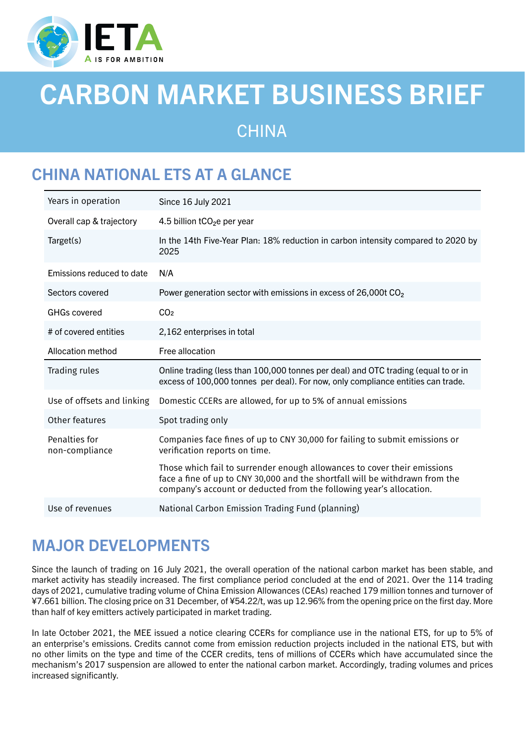

# CARBON MARKET BUSINESS BRIEF

**CHINA** 

# CHINA NATIONAL ETS AT A GLANCE

| Years in operation              | Since 16 July 2021                                                                                                                                                                                                              |
|---------------------------------|---------------------------------------------------------------------------------------------------------------------------------------------------------------------------------------------------------------------------------|
| Overall cap & trajectory        | 4.5 billion $tCO2e$ per year                                                                                                                                                                                                    |
| Target(s)                       | In the 14th Five-Year Plan: 18% reduction in carbon intensity compared to 2020 by<br>2025                                                                                                                                       |
| Emissions reduced to date       | N/A                                                                                                                                                                                                                             |
| Sectors covered                 | Power generation sector with emissions in excess of 26,000t CO <sub>2</sub>                                                                                                                                                     |
| <b>GHGs covered</b>             | CO <sub>2</sub>                                                                                                                                                                                                                 |
| # of covered entities           | 2,162 enterprises in total                                                                                                                                                                                                      |
| Allocation method               | Free allocation                                                                                                                                                                                                                 |
| Trading rules                   | Online trading (less than 100,000 tonnes per deal) and OTC trading (equal to or in<br>excess of 100,000 tonnes per deal). For now, only compliance entities can trade.                                                          |
| Use of offsets and linking      | Domestic CCERs are allowed, for up to 5% of annual emissions                                                                                                                                                                    |
| Other features                  | Spot trading only                                                                                                                                                                                                               |
| Penalties for<br>non-compliance | Companies face fines of up to CNY 30,000 for failing to submit emissions or<br>verification reports on time.                                                                                                                    |
|                                 | Those which fail to surrender enough allowances to cover their emissions<br>face a fine of up to CNY 30,000 and the shortfall will be withdrawn from the<br>company's account or deducted from the following year's allocation. |
| Use of revenues                 | National Carbon Emission Trading Fund (planning)                                                                                                                                                                                |

## MAJOR DEVELOPMENTS

Since the launch of trading on 16 July 2021, the overall operation of the national carbon market has been stable, and market activity has steadily increased. The first compliance period concluded at the end of 2021. Over the 114 trading days of 2021, cumulative trading volume of China Emission Allowances (CEAs) reached 179 million tonnes and turnover of ¥7.661 billion. The closing price on 31 December, of ¥54.22/t, was up 12.96% from the opening price on the first day. More than half of key emitters actively participated in market trading.

In late October 2021, the MEE issued a notice clearing CCERs for compliance use in the national ETS, for up to 5% of an enterprise's emissions. Credits cannot come from emission reduction projects included in the national ETS, but with no other limits on the type and time of the CCER credits, tens of millions of CCERs which have accumulated since the mechanism's 2017 suspension are allowed to enter the national carbon market. Accordingly, trading volumes and prices increased significantly.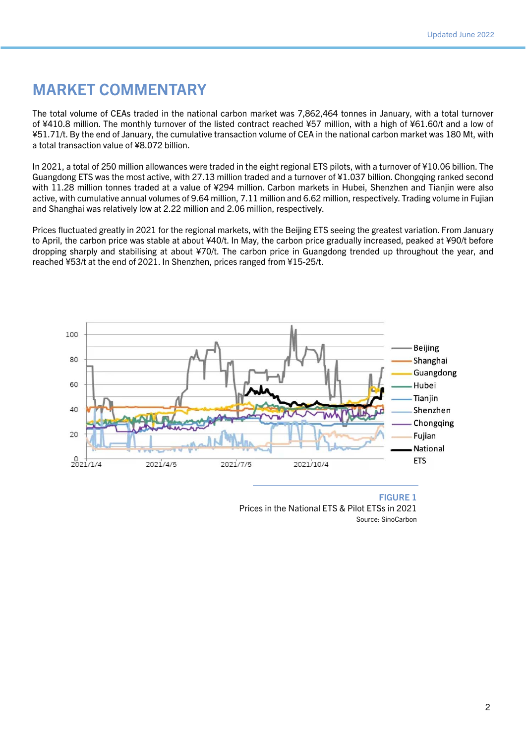#### MARKET COMMENTARY

The total volume of CEAs traded in the national carbon market was 7,862,464 tonnes in January, with a total turnover of ¥410.8 million. The monthly turnover of the listed contract reached ¥57 million, with a high of ¥61.60/t and a low of ¥51.71/t. By the end of January, the cumulative transaction volume of CEA in the national carbon market was 180 Mt, with a total transaction value of ¥8.072 billion.

In 2021, a total of 250 million allowances were traded in the eight regional ETS pilots, with a turnover of ¥10.06 billion. The Guangdong ETS was the most active, with 27.13 million traded and a turnover of ¥1.037 billion. Chongqing ranked second with 11.28 million tonnes traded at a value of ¥294 million. Carbon markets in Hubei, Shenzhen and Tianjin were also active, with cumulative annual volumes of 9.64 million, 7.11 million and 6.62 million, respectively. Trading volume in Fujian and Shanghai was relatively low at 2.22 million and 2.06 million, respectively.

Prices fluctuated greatly in 2021 for the regional markets, with the Beijing ETS seeing the greatest variation. From January to April, the carbon price was stable at about ¥40/t. In May, the carbon price gradually increased, peaked at ¥90/t before dropping sharply and stabilising at about ¥70/t. The carbon price in Guangdong trended up throughout the year, and reached ¥53/t at the end of 2021. In Shenzhen, prices ranged from ¥15-25/t.



FIGURE 1 Prices in the National ETS & Pilot ETSs in 2021 Source: SinoCarbon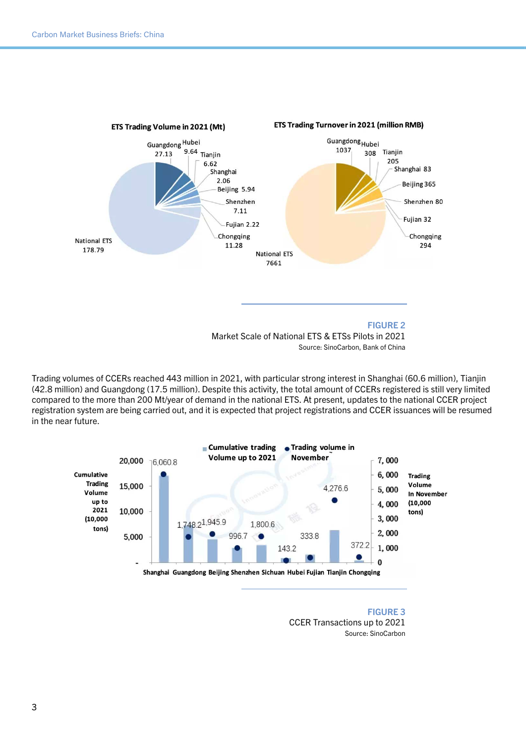

Trading volumes of CCERs reached 443 million in 2021, with particular strong interest in Shanghai (60.6 million), Tianjin (42.8 million) and Guangdong (17.5 million). Despite this activity, the total amount of CCERs registered is still very limited compared to the more than 200 Mt/year of demand in the national ETS. At present, updates to the national CCER project registration system are being carried out, and it is expected that project registrations and CCER issuances will be resumed in the near future.



FIGURE 3 CCER Transactions up to 2021 Source: SinoCarbon